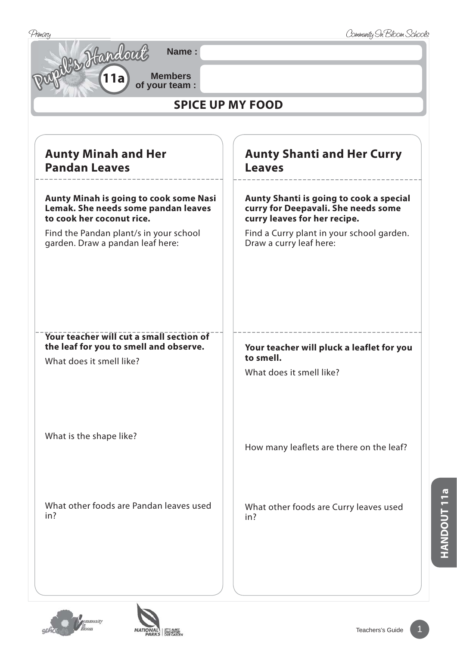





**HANDOUT 11a**

HANDOUT 11a